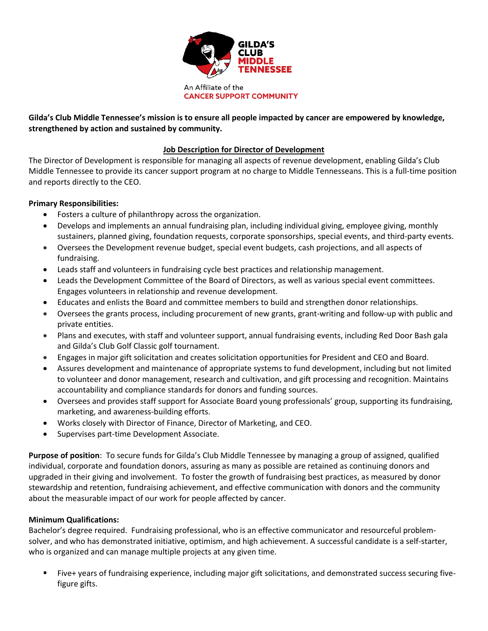

## **Gilda's Club Middle Tennessee's mission is to ensure all people impacted by cancer are empowered by knowledge, strengthened by action and sustained by community.**

## **Job Description for Director of Development**

The Director of Development is responsible for managing all aspects of revenue development, enabling Gilda's Club Middle Tennessee to provide its cancer support program at no charge to Middle Tennesseans. This is a full-time position and reports directly to the CEO.

## **Primary Responsibilities:**

- Fosters a culture of philanthropy across the organization.
- Develops and implements an annual fundraising plan, including individual giving, employee giving, monthly sustainers, planned giving, foundation requests, corporate sponsorships, special events, and third-party events.
- Oversees the Development revenue budget, special event budgets, cash projections, and all aspects of fundraising.
- Leads staff and volunteers in fundraising cycle best practices and relationship management.
- Leads the Development Committee of the Board of Directors, as well as various special event committees. Engages volunteers in relationship and revenue development.
- Educates and enlists the Board and committee members to build and strengthen donor relationships.
- Oversees the grants process, including procurement of new grants, grant-writing and follow-up with public and private entities.
- Plans and executes, with staff and volunteer support, annual fundraising events, including Red Door Bash gala and Gilda's Club Golf Classic golf tournament.
- Engages in major gift solicitation and creates solicitation opportunities for President and CEO and Board.
- Assures development and maintenance of appropriate systems to fund development, including but not limited to volunteer and donor management, research and cultivation, and gift processing and recognition. Maintains accountability and compliance standards for donors and funding sources.
- Oversees and provides staff support for Associate Board young professionals' group, supporting its fundraising, marketing, and awareness-building efforts.
- Works closely with Director of Finance, Director of Marketing, and CEO.
- Supervises part-time Development Associate.

**Purpose of position**: To secure funds for Gilda's Club Middle Tennessee by managing a group of assigned, qualified individual, corporate and foundation donors, assuring as many as possible are retained as continuing donors and upgraded in their giving and involvement. To foster the growth of fundraising best practices, as measured by donor stewardship and retention, fundraising achievement, and effective communication with donors and the community about the measurable impact of our work for people affected by cancer.

## **Minimum Qualifications:**

Bachelor's degree required. Fundraising professional, who is an effective communicator and resourceful problemsolver, and who has demonstrated initiative, optimism, and high achievement. A successful candidate is a self-starter, who is organized and can manage multiple projects at any given time.

▪ Five+ years of fundraising experience, including major gift solicitations, and demonstrated success securing fivefigure gifts.